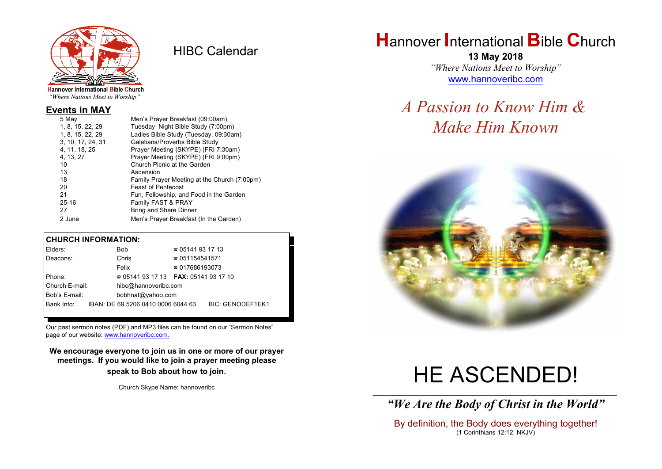

HIBC Calendar

"Where Nations Meet to Worship"

#### **Events in MAY**

| Family Prayer Meeting at the Church (7:00pm) |
|----------------------------------------------|
|                                              |
|                                              |
|                                              |
|                                              |
|                                              |
|                                              |

#### **CHURCH INFORMATION:**

| Elders:        | Bob                                      | $\approx 05141931713$  |                         |
|----------------|------------------------------------------|------------------------|-------------------------|
| Deacons:       | Chris                                    | $\approx 051154541571$ |                         |
|                | Felix                                    | $\approx 017686193073$ |                         |
| Phone:         | $\approx 05141931713$ FAX: 0514193 17 10 |                        |                         |
| Church E-mail: | hibc@hannoveribc.com                     |                        |                         |
| Bob's E-mail:  | bobhnat@yahoo.com                        |                        |                         |
| Bank Info:     | IBAN: DE 69 5206 0410 0006 6044 63       |                        | <b>BIC: GENODEF1EK1</b> |
|                |                                          |                        |                         |

Our past sermon notes (PDF) and MP3 files can be found on our "Sermon Notes" page of our website: [www.hannoveribc.com.](http://www.hannoveribc.com.)

**We encourage everyone to join us in one or more of our prayer meetings. If you would like to join a prayer meeting please speak to Bob about how to join**.

Church Skype Name: hannoveribc

# **H**annover **I**nternational **B**ible **C**hurch

**13 May 2018** *"Where Nations Meet to Worship"* [www.hannoveribc.com](http://www.hannoveribc.com)

## *A Passion to Know Him & Make Him Known*



# HE ASCENDED!

\_\_\_\_\_\_\_\_\_\_\_\_\_\_\_\_\_\_\_\_\_\_\_\_\_\_\_\_\_\_\_\_\_\_\_\_\_\_\_\_\_\_\_\_\_\_\_\_\_\_\_\_\_\_\_\_\_\_\_\_\_\_ *"We Are the Body of Christ in the World"*

By definition, the Body does everything together! (1 Corinthians 12:12 NKJV)